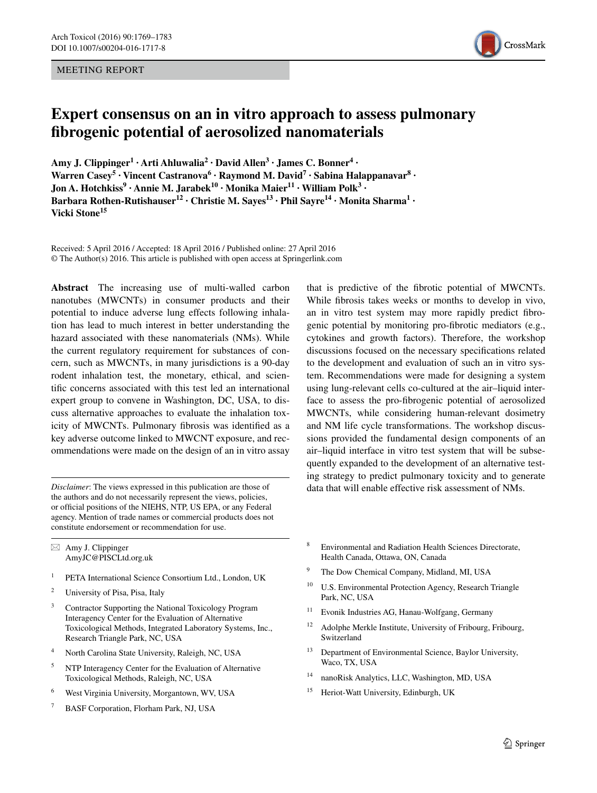MEETING REPORT



# **Expert consensus on an in vitro approach to assess pulmonary fibrogenic potential of aerosolized nanomaterials**

**Amy J. Clippinger1 · Arti Ahluwalia2 · David Allen3 · James C. Bonner4 · Warren Casey<sup>5</sup> · Vincent Castranova<sup>6</sup> · Raymond M. David<sup>7</sup> · Sabina Halappanavar8 · Jon A. Hotchkiss<sup>9</sup> · Annie M. Jarabek10 · Monika Maier11 · William Polk3 · Barbara Rothen‑Rutishauser<sup>12</sup> · Christie M. Sayes<sup>13</sup> · Phil Sayre14 · Monita Sharma1 · Vicki Stone<sup>15</sup>**

Received: 5 April 2016 / Accepted: 18 April 2016 / Published online: 27 April 2016 © The Author(s) 2016. This article is published with open access at Springerlink.com

**Abstract** The increasing use of multi-walled carbon nanotubes (MWCNTs) in consumer products and their potential to induce adverse lung effects following inhalation has lead to much interest in better understanding the hazard associated with these nanomaterials (NMs). While the current regulatory requirement for substances of concern, such as MWCNTs, in many jurisdictions is a 90-day rodent inhalation test, the monetary, ethical, and scientific concerns associated with this test led an international expert group to convene in Washington, DC, USA, to discuss alternative approaches to evaluate the inhalation toxicity of MWCNTs. Pulmonary fibrosis was identified as a key adverse outcome linked to MWCNT exposure, and recommendations were made on the design of an in vitro assay

*Disclaimer*: The views expressed in this publication are those of the authors and do not necessarily represent the views, policies, or official positions of the NIEHS, NTP, US EPA, or any Federal agency. Mention of trade names or commercial products does not constitute endorsement or recommendation for use.

 $\boxtimes$  Amy J. Clippinger AmyJC@PISCLtd.org.uk

- <sup>1</sup> PETA International Science Consortium Ltd., London, UK
- <sup>2</sup> University of Pisa, Pisa, Italy
- <sup>3</sup> Contractor Supporting the National Toxicology Program Interagency Center for the Evaluation of Alternative Toxicological Methods, Integrated Laboratory Systems, Inc., Research Triangle Park, NC, USA
- <sup>4</sup> North Carolina State University, Raleigh, NC, USA
- <sup>5</sup> NTP Interagency Center for the Evaluation of Alternative Toxicological Methods, Raleigh, NC, USA
- <sup>6</sup> West Virginia University, Morgantown, WV, USA
- <sup>7</sup> BASF Corporation, Florham Park, NJ, USA

that is predictive of the fibrotic potential of MWCNTs. While fibrosis takes weeks or months to develop in vivo, an in vitro test system may more rapidly predict fibrogenic potential by monitoring pro-fibrotic mediators (e.g., cytokines and growth factors). Therefore, the workshop discussions focused on the necessary specifications related to the development and evaluation of such an in vitro system. Recommendations were made for designing a system using lung-relevant cells co-cultured at the air–liquid interface to assess the pro-fibrogenic potential of aerosolized MWCNTs, while considering human-relevant dosimetry and NM life cycle transformations. The workshop discussions provided the fundamental design components of an air–liquid interface in vitro test system that will be subsequently expanded to the development of an alternative testing strategy to predict pulmonary toxicity and to generate data that will enable effective risk assessment of NMs.

- <sup>8</sup> Environmental and Radiation Health Sciences Directorate, Health Canada, Ottawa, ON, Canada
- The Dow Chemical Company, Midland, MI, USA
- <sup>10</sup> U.S. Environmental Protection Agency, Research Triangle Park, NC, USA
- <sup>11</sup> Evonik Industries AG, Hanau-Wolfgang, Germany
- <sup>12</sup> Adolphe Merkle Institute, University of Fribourg, Fribourg, Switzerland
- <sup>13</sup> Department of Environmental Science, Baylor University, Waco, TX, USA
- <sup>14</sup> nanoRisk Analytics, LLC, Washington, MD, USA
- <sup>15</sup> Heriot-Watt University, Edinburgh, UK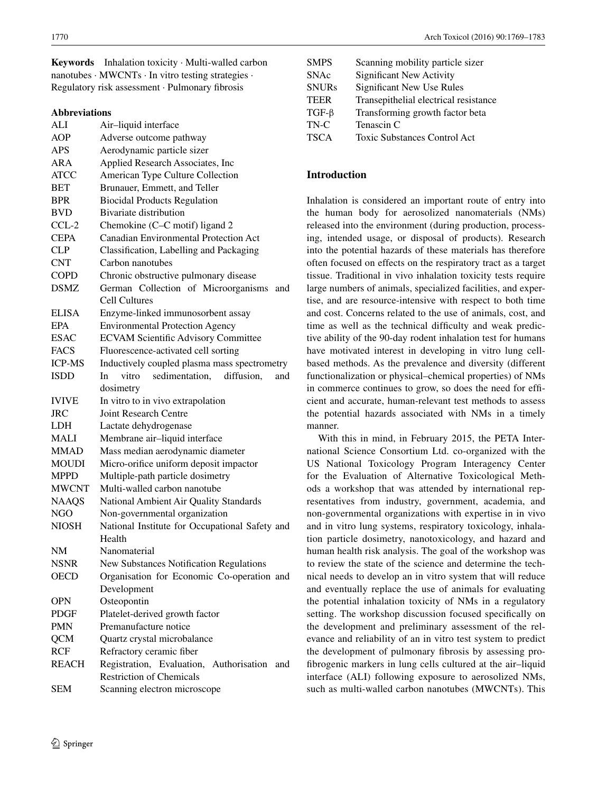**Keywords** Inhalation toxicity · Multi-walled carbon nanotubes · MWCNTs · In vitro testing strategies · Regulatory risk assessment · Pulmonary fibrosis

### **Abbreviations**

| <b>ALI</b>    | Air-liquid interface                               |
|---------------|----------------------------------------------------|
| AOP           | Adverse outcome pathway                            |
| <b>APS</b>    | Aerodynamic particle sizer                         |
| ARA           | Applied Research Associates, Inc                   |
| ATCC          | American Type Culture Collection                   |
| <b>BET</b>    | Brunauer, Emmett, and Teller                       |
| <b>BPR</b>    | <b>Biocidal Products Regulation</b>                |
| <b>BVD</b>    | Bivariate distribution                             |
| $CCL-2$       | Chemokine (C-C motif) ligand 2                     |
| <b>CEPA</b>   | <b>Canadian Environmental Protection Act</b>       |
| <b>CLP</b>    | Classification, Labelling and Packaging            |
| <b>CNT</b>    | Carbon nanotubes                                   |
| <b>COPD</b>   | Chronic obstructive pulmonary disease              |
| <b>DSMZ</b>   | German Collection of Microorganisms<br>and         |
|               | <b>Cell Cultures</b>                               |
| <b>ELISA</b>  | Enzyme-linked immunosorbent assay                  |
| EPA           | <b>Environmental Protection Agency</b>             |
| <b>ESAC</b>   | <b>ECVAM Scientific Advisory Committee</b>         |
| <b>FACS</b>   | Fluorescence-activated cell sorting                |
| <b>ICP-MS</b> | Inductively coupled plasma mass spectrometry       |
| <b>ISDD</b>   | diffusion,<br>sedimentation,<br>In<br>vitro<br>and |
|               | dosimetry                                          |
| <b>IVIVE</b>  | In vitro to in vivo extrapolation                  |
| <b>JRC</b>    | <b>Joint Research Centre</b>                       |
| <b>LDH</b>    | Lactate dehydrogenase                              |
| <b>MALI</b>   | Membrane air-liquid interface                      |
| <b>MMAD</b>   | Mass median aerodynamic diameter                   |
| <b>MOUDI</b>  | Micro-orifice uniform deposit impactor             |
| <b>MPPD</b>   | Multiple-path particle dosimetry                   |
| <b>MWCNT</b>  | Multi-walled carbon nanotube                       |
| <b>NAAQS</b>  | National Ambient Air Quality Standards             |
| NGO           | Non-governmental organization                      |
| <b>NIOSH</b>  | National Institute for Occupational Safety and     |
|               | Health                                             |
| <b>NM</b>     | Nanomaterial                                       |
| <b>NSNR</b>   | New Substances Notification Regulations            |
| <b>OECD</b>   | Organisation for Economic Co-operation and         |
|               | Development                                        |
| <b>OPN</b>    | Osteopontin                                        |
| PDGF          | Platelet-derived growth factor                     |
| <b>PMN</b>    | Premanufacture notice                              |
| <b>QCM</b>    | Quartz crystal microbalance                        |
| <b>RCF</b>    | Refractory ceramic fiber                           |
| <b>REACH</b>  | Registration, Evaluation, Authorisation<br>and     |
|               | <b>Restriction of Chemicals</b>                    |
| SEM           | Scanning electron microscope                       |
|               |                                                    |

| <b>SMPS</b>  | Scanning mobility particle sizer      |
|--------------|---------------------------------------|
| <b>SNAc</b>  | Significant New Activity              |
| <b>SNURs</b> | <b>Significant New Use Rules</b>      |
| <b>TEER</b>  | Transepithelial electrical resistance |
| $TGF-\beta$  | Transforming growth factor beta       |
| TN-C         | Tenascin C                            |
| <b>TSCA</b>  | <b>Toxic Substances Control Act</b>   |
|              |                                       |

## **Introduction**

Inhalation is considered an important route of entry into the human body for aerosolized nanomaterials (NMs) released into the environment (during production, processing, intended usage, or disposal of products). Research into the potential hazards of these materials has therefore often focused on effects on the respiratory tract as a target tissue. Traditional in vivo inhalation toxicity tests require large numbers of animals, specialized facilities, and expertise, and are resource-intensive with respect to both time and cost. Concerns related to the use of animals, cost, and time as well as the technical difficulty and weak predictive ability of the 90-day rodent inhalation test for humans have motivated interest in developing in vitro lung cellbased methods. As the prevalence and diversity (different functionalization or physical–chemical properties) of NMs in commerce continues to grow, so does the need for efficient and accurate, human-relevant test methods to assess the potential hazards associated with NMs in a timely manner.

With this in mind, in February 2015, the PETA International Science Consortium Ltd. co-organized with the US National Toxicology Program Interagency Center for the Evaluation of Alternative Toxicological Methods a workshop that was attended by international representatives from industry, government, academia, and non-governmental organizations with expertise in in vivo and in vitro lung systems, respiratory toxicology, inhalation particle dosimetry, nanotoxicology, and hazard and human health risk analysis. The goal of the workshop was to review the state of the science and determine the technical needs to develop an in vitro system that will reduce and eventually replace the use of animals for evaluating the potential inhalation toxicity of NMs in a regulatory setting. The workshop discussion focused specifically on the development and preliminary assessment of the relevance and reliability of an in vitro test system to predict the development of pulmonary fibrosis by assessing profibrogenic markers in lung cells cultured at the air–liquid interface (ALI) following exposure to aerosolized NMs, such as multi-walled carbon nanotubes (MWCNTs). This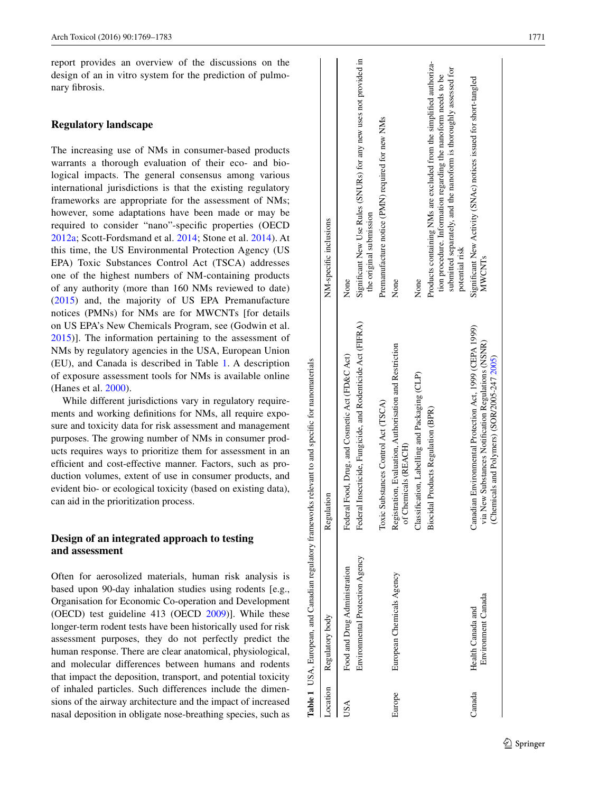report provides an overview of the discussions on the design of an in vitro system for the prediction of pulmonary fibrosis.

## **Regulatory landscape**

The increasing use of NMs in consumer-based products warrants a thorough evaluation of their eco- and bio logical impacts. The general consensus among various international jurisdictions is that the existing regulatory frameworks are appropriate for the assessment of NMs; however, some adaptations have been made or may be required to consider "nano"-specific properties (OECD [2012a;](#page-13-0) Scott-Fordsmand et al. [2014;](#page-14-0) Stone et al. [2014](#page-14-1)). At this time, the US Environmental Protection Agency (US EPA) Toxic Substances Control Act (TSCA) addresses one of the highest numbers of NM-containing products of any authority (more than 160 NMs reviewed to date) [\(2015\)](#page-14-2) and, the majority of US EPA Premanufacture notices (PMNs) for NMs are for MWCNTs [for details on US EPA's New Chemicals Program, see (Godwin et al. [2015](#page-12-0))]. The information pertaining to the assessment of NMs by regulatory agencies in the USA, European Union (EU), and Canada is described in Table [1.](#page-2-0) A description of exposure assessment tools for NMs is available online (Hanes et al. [2000\)](#page-12-1).

While different jurisdictions vary in regulatory require- ments and working definitions for NMs, all require expo sure and toxicity data for risk assessment and management purposes. The growing number of NMs in consumer prod ucts requires ways to prioritize them for assessment in an efficient and cost-effective manner. Factors, such as pro duction volumes, extent of use in consumer products, and evident bio- or ecological toxicity (based on existing data), can aid in the prioritization process.

## **Design of an integrated approach to testing and assessment**

Often for aerosolized materials, human risk analysis is based upon 90-day inhalation studies using rodents [e.g., Organisation for Economic Co-operation and Development (OECD) test guideline 413 (OECD [2009\)](#page-13-1)]. While these longer-term rodent tests have been historically used for risk assessment purposes, they do not perfectly predict the human response. There are clear anatomical, physiological, and molecular differences between humans and rodents that impact the deposition, transport, and potential toxicity of inhaled particles. Such differences include the dimen sions of the airway architecture and the impact of increased nasal deposition in obligate nose-breathing species, such as

|          |                                         | Table 1 USA, European, and Canadian regulatory frameworks relevant to and specific for nanomaterials                                                          |                                                                                                                                                                                                                              |
|----------|-----------------------------------------|---------------------------------------------------------------------------------------------------------------------------------------------------------------|------------------------------------------------------------------------------------------------------------------------------------------------------------------------------------------------------------------------------|
| Location | Regulatory body                         | Regulation                                                                                                                                                    | NM-specific inclusions                                                                                                                                                                                                       |
| USA      | Food and Drug Administration            | Federal Food, Drug, and Cosmetic Act (FD&C Act)                                                                                                               | None                                                                                                                                                                                                                         |
|          | Environmental Protection Agency         | Insecticide, Fungicide, and Rodenticide Act (FIFRA)<br>Federal                                                                                                | Significant New Use Rules (SNURs) for any new uses not provided in<br>the original submission                                                                                                                                |
|          |                                         | Toxic Substances Control Act (TSCA)                                                                                                                           | Premanufacture notice (PMN) required for new NMs                                                                                                                                                                             |
| Europe   | European Chemicals Agency               | Registration, Evaluation, Authorisation and Restriction<br>of Chemicals (REACH)                                                                               | None                                                                                                                                                                                                                         |
|          |                                         | Classification, Labelling and Packaging (CLP)                                                                                                                 | None                                                                                                                                                                                                                         |
|          |                                         | Biocidal Products Regulation (BPR)                                                                                                                            | Products containing NMs are excluded from the simplified authoriza-<br>submitted separately, and the nanoform is thoroughly assessed for<br>tion procedure. Information regarding the nanoform needs to be<br>potential risk |
| Canada   | Environment Canada<br>Health Canada and | Canadian Environmental Protection Act, 1999 (CEPA 1999)<br>via New Substances Notification Regulations (NSNR)<br>(Chemicals and Polymers) (SOR/2005-247 2005) | Significant New Activity (SNAc) notices issued for short-tangled<br><b>MWCNTs</b>                                                                                                                                            |
|          |                                         |                                                                                                                                                               |                                                                                                                                                                                                                              |

<span id="page-2-0"></span><sup>2</sup> Springer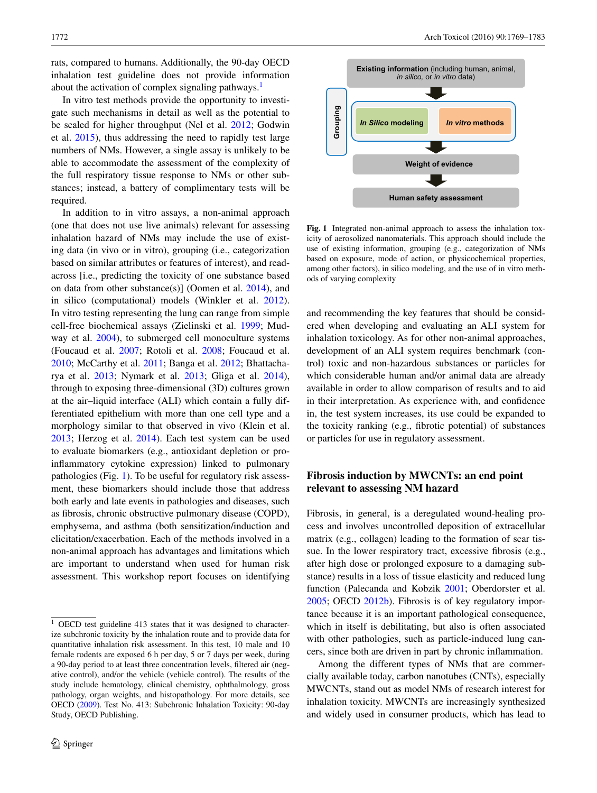rats, compared to humans. Additionally, the 90-day OECD inhalation test guideline does not provide information about the activation of complex signaling pathways.<sup>[1](#page-3-0)</sup>

In vitro test methods provide the opportunity to investigate such mechanisms in detail as well as the potential to be scaled for higher throughput (Nel et al. [2012](#page-13-2); Godwin et al. [2015\)](#page-12-0), thus addressing the need to rapidly test large numbers of NMs. However, a single assay is unlikely to be able to accommodate the assessment of the complexity of the full respiratory tissue response to NMs or other substances; instead, a battery of complimentary tests will be required.

In addition to in vitro assays, a non-animal approach (one that does not use live animals) relevant for assessing inhalation hazard of NMs may include the use of existing data (in vivo or in vitro), grouping (i.e., categorization based on similar attributes or features of interest), and readacross [i.e., predicting the toxicity of one substance based on data from other substance(s)] (Oomen et al. [2014\)](#page-13-3), and in silico (computational) models (Winkler et al. [2012](#page-14-4)). In vitro testing representing the lung can range from simple cell-free biochemical assays (Zielinski et al. [1999;](#page-14-5) Mudway et al. [2004](#page-13-4)), to submerged cell monoculture systems (Foucaud et al. [2007](#page-12-2); Rotoli et al. [2008;](#page-14-6) Foucaud et al. [2010](#page-12-3); McCarthy et al. [2011](#page-13-5); Banga et al. [2012](#page-12-4); Bhattacharya et al. [2013;](#page-12-5) Nymark et al. [2013;](#page-13-6) Gliga et al. [2014](#page-12-6)), through to exposing three-dimensional (3D) cultures grown at the air–liquid interface (ALI) which contain a fully differentiated epithelium with more than one cell type and a morphology similar to that observed in vivo (Klein et al. [2013](#page-13-7); Herzog et al. [2014](#page-13-8)). Each test system can be used to evaluate biomarkers (e.g., antioxidant depletion or proinflammatory cytokine expression) linked to pulmonary pathologies (Fig. [1](#page-3-1)). To be useful for regulatory risk assessment, these biomarkers should include those that address both early and late events in pathologies and diseases, such as fibrosis, chronic obstructive pulmonary disease (COPD), emphysema, and asthma (both sensitization/induction and elicitation/exacerbation. Each of the methods involved in a non-animal approach has advantages and limitations which are important to understand when used for human risk assessment. This workshop report focuses on identifying





<span id="page-3-1"></span>**Fig. 1** Integrated non-animal approach to assess the inhalation toxicity of aerosolized nanomaterials. This approach should include the use of existing information, grouping (e.g., categorization of NMs based on exposure, mode of action, or physicochemical properties, among other factors), in silico modeling, and the use of in vitro methods of varying complexity

and recommending the key features that should be considered when developing and evaluating an ALI system for inhalation toxicology. As for other non-animal approaches, development of an ALI system requires benchmark (control) toxic and non-hazardous substances or particles for which considerable human and/or animal data are already available in order to allow comparison of results and to aid in their interpretation. As experience with, and confidence in, the test system increases, its use could be expanded to the toxicity ranking (e.g., fibrotic potential) of substances or particles for use in regulatory assessment.

## **Fibrosis induction by MWCNTs: an end point relevant to assessing NM hazard**

Fibrosis, in general, is a deregulated wound-healing process and involves uncontrolled deposition of extracellular matrix (e.g., collagen) leading to the formation of scar tissue. In the lower respiratory tract, excessive fibrosis (e.g., after high dose or prolonged exposure to a damaging substance) results in a loss of tissue elasticity and reduced lung function (Palecanda and Kobzik [2001;](#page-13-9) Oberdorster et al. [2005](#page-13-10); OECD [2012b](#page-13-11)). Fibrosis is of key regulatory importance because it is an important pathological consequence, which in itself is debilitating, but also is often associated with other pathologies, such as particle-induced lung cancers, since both are driven in part by chronic inflammation.

Among the different types of NMs that are commercially available today, carbon nanotubes (CNTs), especially MWCNTs, stand out as model NMs of research interest for inhalation toxicity. MWCNTs are increasingly synthesized and widely used in consumer products, which has lead to

<span id="page-3-0"></span><sup>&</sup>lt;sup>1</sup> OECD test guideline 413 states that it was designed to characterize subchronic toxicity by the inhalation route and to provide data for quantitative inhalation risk assessment. In this test, 10 male and 10 female rodents are exposed 6 h per day, 5 or 7 days per week, during a 90-day period to at least three concentration levels, filtered air (negative control), and/or the vehicle (vehicle control). The results of the study include hematology, clinical chemistry, ophthalmology, gross pathology, organ weights, and histopathology. For more details, see OECD ([2009\)](#page-13-1). Test No. 413: Subchronic Inhalation Toxicity: 90-day Study, OECD Publishing.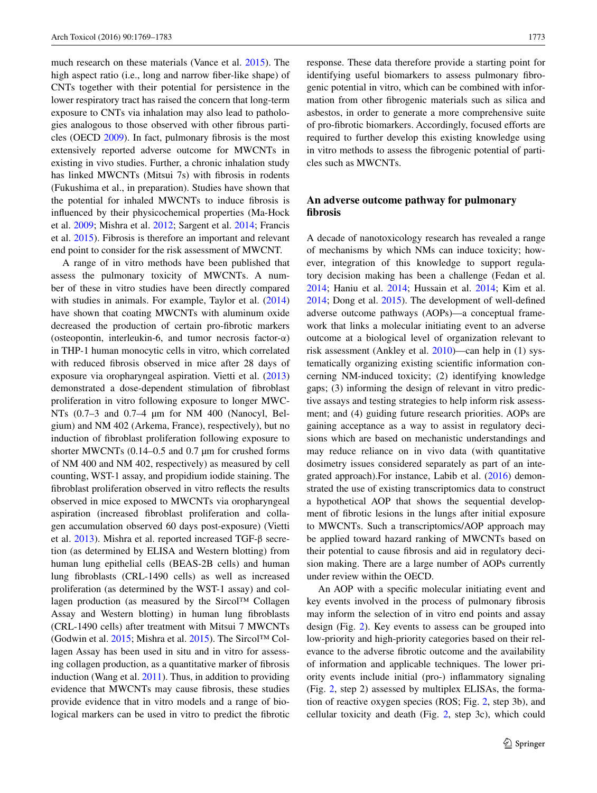much research on these materials (Vance et al. [2015\)](#page-14-7). The high aspect ratio (i.e., long and narrow fiber-like shape) of CNTs together with their potential for persistence in the lower respiratory tract has raised the concern that long-term exposure to CNTs via inhalation may also lead to pathologies analogous to those observed with other fibrous particles (OECD [2009\)](#page-13-1). In fact, pulmonary fibrosis is the most extensively reported adverse outcome for MWCNTs in existing in vivo studies. Further, a chronic inhalation study has linked MWCNTs (Mitsui 7s) with fibrosis in rodents (Fukushima et al., in preparation). Studies have shown that the potential for inhaled MWCNTs to induce fibrosis is influenced by their physicochemical properties (Ma-Hock et al. [2009;](#page-13-12) Mishra et al. [2012;](#page-13-13) Sargent et al. [2014](#page-14-8); Francis et al. [2015\)](#page-12-7). Fibrosis is therefore an important and relevant end point to consider for the risk assessment of MWCNT.

A range of in vitro methods have been published that assess the pulmonary toxicity of MWCNTs. A number of these in vitro studies have been directly compared with studies in animals. For example, Taylor et al.  $(2014)$  $(2014)$ have shown that coating MWCNTs with aluminum oxide decreased the production of certain pro-fibrotic markers (osteopontin, interleukin-6, and tumor necrosis factor- $\alpha$ ) in THP-1 human monocytic cells in vitro, which correlated with reduced fibrosis observed in mice after 28 days of exposure via oropharyngeal aspiration. Vietti et al. ([2013\)](#page-14-10) demonstrated a dose-dependent stimulation of fibroblast proliferation in vitro following exposure to longer MWC-NTs  $(0.7-3$  and  $0.7-4$  µm for NM 400 (Nanocyl, Belgium) and NM 402 (Arkema, France), respectively), but no induction of fibroblast proliferation following exposure to shorter MWCNTs (0.14–0.5 and 0.7  $\mu$ m for crushed forms of NM 400 and NM 402, respectively) as measured by cell counting, WST-1 assay, and propidium iodide staining. The fibroblast proliferation observed in vitro reflects the results observed in mice exposed to MWCNTs via oropharyngeal aspiration (increased fibroblast proliferation and collagen accumulation observed 60 days post-exposure) (Vietti et al. [2013](#page-14-10)). Mishra et al. reported increased TGF-β secretion (as determined by ELISA and Western blotting) from human lung epithelial cells (BEAS-2B cells) and human lung fibroblasts (CRL-1490 cells) as well as increased proliferation (as determined by the WST-1 assay) and collagen production (as measured by the Sircol™ Collagen Assay and Western blotting) in human lung fibroblasts (CRL-1490 cells) after treatment with Mitsui 7 MWCNTs (Godwin et al. [2015;](#page-12-0) Mishra et al. [2015\)](#page-13-14). The Sircol™ Collagen Assay has been used in situ and in vitro for assessing collagen production, as a quantitative marker of fibrosis induction (Wang et al. [2011\)](#page-14-11). Thus, in addition to providing evidence that MWCNTs may cause fibrosis, these studies provide evidence that in vitro models and a range of biological markers can be used in vitro to predict the fibrotic response. These data therefore provide a starting point for identifying useful biomarkers to assess pulmonary fibrogenic potential in vitro, which can be combined with information from other fibrogenic materials such as silica and asbestos, in order to generate a more comprehensive suite of pro-fibrotic biomarkers. Accordingly, focused efforts are required to further develop this existing knowledge using in vitro methods to assess the fibrogenic potential of particles such as MWCNTs.

## **An adverse outcome pathway for pulmonary fibrosis**

A decade of nanotoxicology research has revealed a range of mechanisms by which NMs can induce toxicity; however, integration of this knowledge to support regulatory decision making has been a challenge (Fedan et al. [2014](#page-12-8); Haniu et al. [2014](#page-12-9); Hussain et al. [2014;](#page-13-15) Kim et al. [2014](#page-13-16); Dong et al. [2015\)](#page-12-10). The development of well-defined adverse outcome pathways (AOPs)—a conceptual framework that links a molecular initiating event to an adverse outcome at a biological level of organization relevant to risk assessment (Ankley et al. [2010](#page-12-11))—can help in (1) systematically organizing existing scientific information concerning NM-induced toxicity; (2) identifying knowledge gaps; (3) informing the design of relevant in vitro predictive assays and testing strategies to help inform risk assessment; and (4) guiding future research priorities. AOPs are gaining acceptance as a way to assist in regulatory decisions which are based on mechanistic understandings and may reduce reliance on in vivo data (with quantitative dosimetry issues considered separately as part of an integrated approach).For instance, Labib et al. ([2016\)](#page-13-17) demonstrated the use of existing transcriptomics data to construct a hypothetical AOP that shows the sequential development of fibrotic lesions in the lungs after initial exposure to MWCNTs. Such a transcriptomics/AOP approach may be applied toward hazard ranking of MWCNTs based on their potential to cause fibrosis and aid in regulatory decision making. There are a large number of AOPs currently under review within the OECD.

An AOP with a specific molecular initiating event and key events involved in the process of pulmonary fibrosis may inform the selection of in vitro end points and assay design (Fig. [2\)](#page-5-0). Key events to assess can be grouped into low-priority and high-priority categories based on their relevance to the adverse fibrotic outcome and the availability of information and applicable techniques. The lower priority events include initial (pro-) inflammatory signaling (Fig. [2,](#page-5-0) step 2) assessed by multiplex ELISAs, the formation of reactive oxygen species (ROS; Fig. [2](#page-5-0), step 3b), and cellular toxicity and death (Fig. [2](#page-5-0), step 3c), which could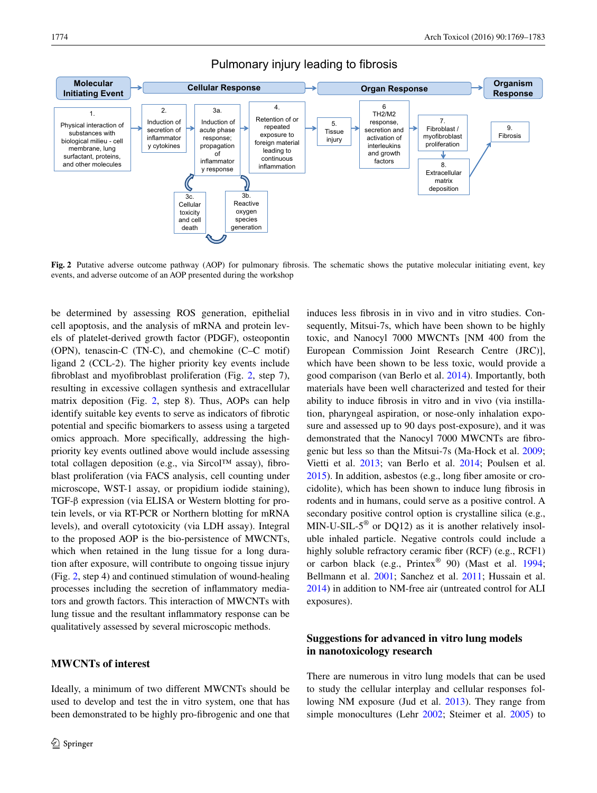

## Pulmonary injury leading to fibrosis

<span id="page-5-0"></span>**Fig. 2** Putative adverse outcome pathway (AOP) for pulmonary fibrosis. The schematic shows the putative molecular initiating event, key events, and adverse outcome of an AOP presented during the workshop

be determined by assessing ROS generation, epithelial cell apoptosis, and the analysis of mRNA and protein levels of platelet-derived growth factor (PDGF), osteopontin (OPN), tenascin-C (TN-C), and chemokine (C–C motif) ligand 2 (CCL-2). The higher priority key events include fibroblast and myofibroblast proliferation (Fig. [2](#page-5-0), step 7), resulting in excessive collagen synthesis and extracellular matrix deposition (Fig. [2](#page-5-0), step 8). Thus, AOPs can help identify suitable key events to serve as indicators of fibrotic potential and specific biomarkers to assess using a targeted omics approach. More specifically, addressing the highpriority key events outlined above would include assessing total collagen deposition (e.g., via Sircol™ assay), fibroblast proliferation (via FACS analysis, cell counting under microscope, WST-1 assay, or propidium iodide staining), TGF-β expression (via ELISA or Western blotting for protein levels, or via RT-PCR or Northern blotting for mRNA levels), and overall cytotoxicity (via LDH assay). Integral to the proposed AOP is the bio-persistence of MWCNTs, which when retained in the lung tissue for a long duration after exposure, will contribute to ongoing tissue injury (Fig. [2,](#page-5-0) step 4) and continued stimulation of wound-healing processes including the secretion of inflammatory mediators and growth factors. This interaction of MWCNTs with lung tissue and the resultant inflammatory response can be qualitatively assessed by several microscopic methods.

#### **MWCNTs of interest**

Ideally, a minimum of two different MWCNTs should be used to develop and test the in vitro system, one that has been demonstrated to be highly pro-fibrogenic and one that induces less fibrosis in in vivo and in vitro studies. Consequently, Mitsui-7s, which have been shown to be highly toxic, and Nanocyl 7000 MWCNTs [NM 400 from the European Commission Joint Research Centre (JRC)], which have been shown to be less toxic, would provide a good comparison (van Berlo et al. [2014](#page-14-12)). Importantly, both materials have been well characterized and tested for their ability to induce fibrosis in vitro and in vivo (via instillation, pharyngeal aspiration, or nose-only inhalation exposure and assessed up to 90 days post-exposure), and it was demonstrated that the Nanocyl 7000 MWCNTs are fibrogenic but less so than the Mitsui-7s (Ma-Hock et al. [2009](#page-13-12); Vietti et al. [2013](#page-14-10); van Berlo et al. [2014;](#page-14-12) Poulsen et al. [2015](#page-13-18)). In addition, asbestos (e.g., long fiber amosite or crocidolite), which has been shown to induce lung fibrosis in rodents and in humans, could serve as a positive control. A secondary positive control option is crystalline silica (e.g., MIN-U-SIL- $5^{\circ}$  or DQ12) as it is another relatively insoluble inhaled particle. Negative controls could include a highly soluble refractory ceramic fiber (RCF) (e.g., RCF1) or carbon black (e.g., Printex® 90) (Mast et al. [1994](#page-13-19); Bellmann et al. [2001](#page-12-12); Sanchez et al. [2011](#page-14-13); Hussain et al. [2014](#page-13-15)) in addition to NM-free air (untreated control for ALI exposures).

## **Suggestions for advanced in vitro lung models in nanotoxicology research**

There are numerous in vitro lung models that can be used to study the cellular interplay and cellular responses following NM exposure (Jud et al. [2013](#page-13-20)). They range from simple monocultures (Lehr [2002;](#page-13-21) Steimer et al. [2005](#page-14-14)) to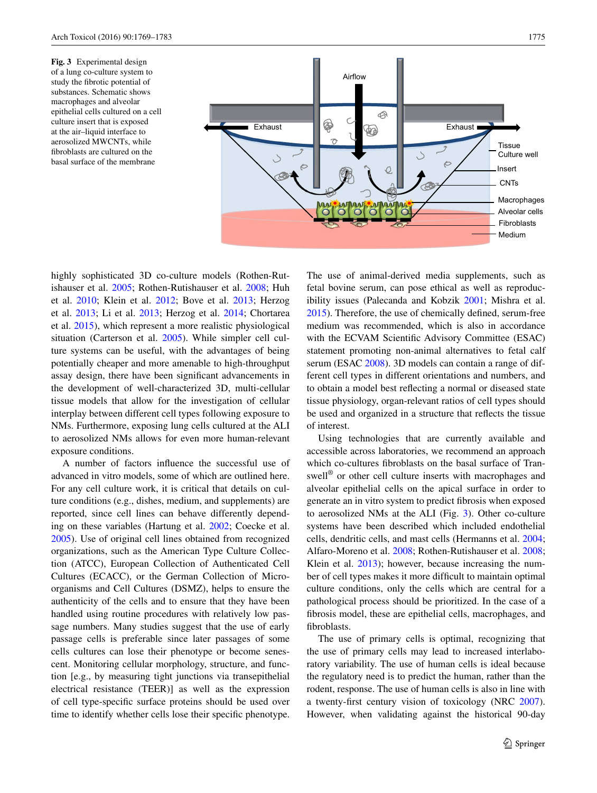<span id="page-6-0"></span>**Fig. 3** Experimental design of a lung co-culture system to study the fibrotic potential of substances. Schematic shows macrophages and alveolar epithelial cells cultured on a cell culture insert that is exposed at the air–liquid interface to aerosolized MWCNTs, while fibroblasts are cultured on the basal surface of the membrane



highly sophisticated 3D co-culture models (Rothen-Rutishauser et al. [2005;](#page-14-15) Rothen-Rutishauser et al. [2008](#page-14-16); Huh et al. [2010](#page-13-22); Klein et al. [2012](#page-13-23); Bove et al. [2013;](#page-12-13) Herzog et al. [2013](#page-13-24); Li et al. [2013](#page-13-25); Herzog et al. [2014](#page-13-8); Chortarea et al. [2015\)](#page-12-14), which represent a more realistic physiological situation (Carterson et al. [2005\)](#page-12-15). While simpler cell culture systems can be useful, with the advantages of being potentially cheaper and more amenable to high-throughput assay design, there have been significant advancements in the development of well-characterized 3D, multi-cellular tissue models that allow for the investigation of cellular interplay between different cell types following exposure to NMs. Furthermore, exposing lung cells cultured at the ALI to aerosolized NMs allows for even more human-relevant exposure conditions.

A number of factors influence the successful use of advanced in vitro models, some of which are outlined here. For any cell culture work, it is critical that details on culture conditions (e.g., dishes, medium, and supplements) are reported, since cell lines can behave differently depending on these variables (Hartung et al. [2002;](#page-12-16) Coecke et al. [2005](#page-12-17)). Use of original cell lines obtained from recognized organizations, such as the American Type Culture Collection (ATCC), European Collection of Authenticated Cell Cultures (ECACC), or the German Collection of Microorganisms and Cell Cultures (DSMZ), helps to ensure the authenticity of the cells and to ensure that they have been handled using routine procedures with relatively low passage numbers. Many studies suggest that the use of early passage cells is preferable since later passages of some cells cultures can lose their phenotype or become senescent. Monitoring cellular morphology, structure, and function [e.g., by measuring tight junctions via transepithelial electrical resistance (TEER)] as well as the expression of cell type-specific surface proteins should be used over time to identify whether cells lose their specific phenotype. The use of animal-derived media supplements, such as fetal bovine serum, can pose ethical as well as reproducibility issues (Palecanda and Kobzik [2001](#page-13-9); Mishra et al. [2015](#page-13-14)). Therefore, the use of chemically defined, serum-free medium was recommended, which is also in accordance with the ECVAM Scientific Advisory Committee (ESAC) statement promoting non-animal alternatives to fetal calf serum (ESAC [2008](#page-12-18)). 3D models can contain a range of different cell types in different orientations and numbers, and to obtain a model best reflecting a normal or diseased state tissue physiology, organ-relevant ratios of cell types should be used and organized in a structure that reflects the tissue of interest.

Using technologies that are currently available and accessible across laboratories, we recommend an approach which co-cultures fibroblasts on the basal surface of Transwell<sup>®</sup> or other cell culture inserts with macrophages and alveolar epithelial cells on the apical surface in order to generate an in vitro system to predict fibrosis when exposed to aerosolized NMs at the ALI (Fig. [3](#page-6-0)). Other co-culture systems have been described which included endothelial cells, dendritic cells, and mast cells (Hermanns et al. [2004](#page-12-19); Alfaro-Moreno et al. [2008;](#page-12-20) Rothen-Rutishauser et al. [2008](#page-14-16); Klein et al. [2013\)](#page-13-7); however, because increasing the number of cell types makes it more difficult to maintain optimal culture conditions, only the cells which are central for a pathological process should be prioritized. In the case of a fibrosis model, these are epithelial cells, macrophages, and fibroblasts.

The use of primary cells is optimal, recognizing that the use of primary cells may lead to increased interlaboratory variability. The use of human cells is ideal because the regulatory need is to predict the human, rather than the rodent, response. The use of human cells is also in line with a twenty-first century vision of toxicology (NRC [2007](#page-13-26)). However, when validating against the historical 90-day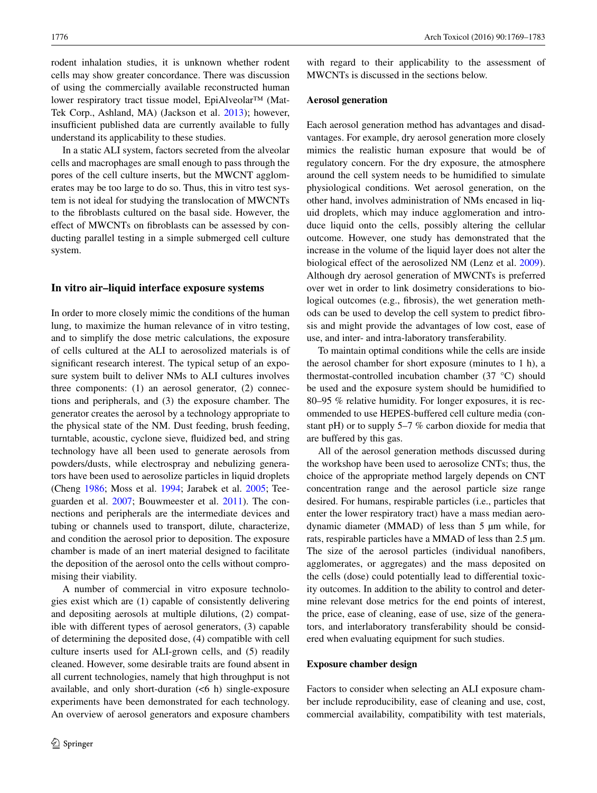rodent inhalation studies, it is unknown whether rodent cells may show greater concordance. There was discussion of using the commercially available reconstructed human lower respiratory tract tissue model, EpiAlveolar™ (Mat-Tek Corp., Ashland, MA) (Jackson et al. [2013](#page-13-27)); however, insufficient published data are currently available to fully understand its applicability to these studies.

In a static ALI system, factors secreted from the alveolar cells and macrophages are small enough to pass through the pores of the cell culture inserts, but the MWCNT agglomerates may be too large to do so. Thus, this in vitro test system is not ideal for studying the translocation of MWCNTs to the fibroblasts cultured on the basal side. However, the effect of MWCNTs on fibroblasts can be assessed by conducting parallel testing in a simple submerged cell culture system.

#### **In vitro air–liquid interface exposure systems**

In order to more closely mimic the conditions of the human lung, to maximize the human relevance of in vitro testing, and to simplify the dose metric calculations, the exposure of cells cultured at the ALI to aerosolized materials is of significant research interest. The typical setup of an exposure system built to deliver NMs to ALI cultures involves three components: (1) an aerosol generator, (2) connections and peripherals, and (3) the exposure chamber. The generator creates the aerosol by a technology appropriate to the physical state of the NM. Dust feeding, brush feeding, turntable, acoustic, cyclone sieve, fluidized bed, and string technology have all been used to generate aerosols from powders/dusts, while electrospray and nebulizing generators have been used to aerosolize particles in liquid droplets (Cheng [1986](#page-12-21); Moss et al. [1994](#page-13-28); Jarabek et al. [2005](#page-13-29); Teeguarden et al. [2007;](#page-14-17) Bouwmeester et al. [2011](#page-12-22)). The connections and peripherals are the intermediate devices and tubing or channels used to transport, dilute, characterize, and condition the aerosol prior to deposition. The exposure chamber is made of an inert material designed to facilitate the deposition of the aerosol onto the cells without compromising their viability.

A number of commercial in vitro exposure technologies exist which are (1) capable of consistently delivering and depositing aerosols at multiple dilutions, (2) compatible with different types of aerosol generators, (3) capable of determining the deposited dose, (4) compatible with cell culture inserts used for ALI-grown cells, and (5) readily cleaned. However, some desirable traits are found absent in all current technologies, namely that high throughput is not available, and only short-duration (<6 h) single-exposure experiments have been demonstrated for each technology. An overview of aerosol generators and exposure chambers

with regard to their applicability to the assessment of MWCNTs is discussed in the sections below.

#### **Aerosol generation**

Each aerosol generation method has advantages and disadvantages. For example, dry aerosol generation more closely mimics the realistic human exposure that would be of regulatory concern. For the dry exposure, the atmosphere around the cell system needs to be humidified to simulate physiological conditions. Wet aerosol generation, on the other hand, involves administration of NMs encased in liquid droplets, which may induce agglomeration and introduce liquid onto the cells, possibly altering the cellular outcome. However, one study has demonstrated that the increase in the volume of the liquid layer does not alter the biological effect of the aerosolized NM (Lenz et al. [2009](#page-13-30)). Although dry aerosol generation of MWCNTs is preferred over wet in order to link dosimetry considerations to biological outcomes (e.g., fibrosis), the wet generation methods can be used to develop the cell system to predict fibrosis and might provide the advantages of low cost, ease of use, and inter- and intra-laboratory transferability.

To maintain optimal conditions while the cells are inside the aerosol chamber for short exposure (minutes to 1 h), a thermostat-controlled incubation chamber (37 °C) should be used and the exposure system should be humidified to 80–95 % relative humidity. For longer exposures, it is recommended to use HEPES-buffered cell culture media (constant pH) or to supply 5–7 % carbon dioxide for media that are buffered by this gas.

All of the aerosol generation methods discussed during the workshop have been used to aerosolize CNTs; thus, the choice of the appropriate method largely depends on CNT concentration range and the aerosol particle size range desired. For humans, respirable particles (i.e., particles that enter the lower respiratory tract) have a mass median aerodynamic diameter (MMAD) of less than 5 µm while, for rats, respirable particles have a MMAD of less than 2.5 µm. The size of the aerosol particles (individual nanofibers, agglomerates, or aggregates) and the mass deposited on the cells (dose) could potentially lead to differential toxicity outcomes. In addition to the ability to control and determine relevant dose metrics for the end points of interest, the price, ease of cleaning, ease of use, size of the generators, and interlaboratory transferability should be considered when evaluating equipment for such studies.

#### **Exposure chamber design**

Factors to consider when selecting an ALI exposure chamber include reproducibility, ease of cleaning and use, cost, commercial availability, compatibility with test materials,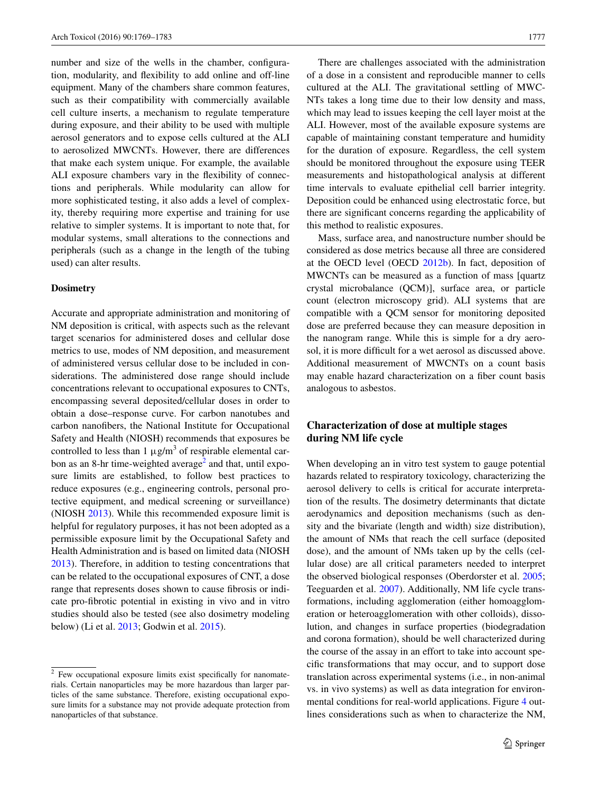number and size of the wells in the chamber, configuration, modularity, and flexibility to add online and off-line equipment. Many of the chambers share common features, such as their compatibility with commercially available cell culture inserts, a mechanism to regulate temperature during exposure, and their ability to be used with multiple aerosol generators and to expose cells cultured at the ALI to aerosolized MWCNTs. However, there are differences that make each system unique. For example, the available ALI exposure chambers vary in the flexibility of connections and peripherals. While modularity can allow for more sophisticated testing, it also adds a level of complexity, thereby requiring more expertise and training for use relative to simpler systems. It is important to note that, for modular systems, small alterations to the connections and peripherals (such as a change in the length of the tubing used) can alter results.

#### **Dosimetry**

Accurate and appropriate administration and monitoring of NM deposition is critical, with aspects such as the relevant target scenarios for administered doses and cellular dose metrics to use, modes of NM deposition, and measurement of administered versus cellular dose to be included in considerations. The administered dose range should include concentrations relevant to occupational exposures to CNTs, encompassing several deposited/cellular doses in order to obtain a dose–response curve. For carbon nanotubes and carbon nanofibers, the National Institute for Occupational Safety and Health (NIOSH) recommends that exposures be controlled to less than  $1 \mu g/m^3$  of respirable elemental car-bon as an 8-hr time-weighted average<sup>[2](#page-8-0)</sup> and that, until exposure limits are established, to follow best practices to reduce exposures (e.g., engineering controls, personal protective equipment, and medical screening or surveillance) (NIOSH [2013\)](#page-13-31). While this recommended exposure limit is helpful for regulatory purposes, it has not been adopted as a permissible exposure limit by the Occupational Safety and Health Administration and is based on limited data (NIOSH [2013](#page-13-31)). Therefore, in addition to testing concentrations that can be related to the occupational exposures of CNT, a dose range that represents doses shown to cause fibrosis or indicate pro-fibrotic potential in existing in vivo and in vitro studies should also be tested (see also dosimetry modeling below) (Li et al. [2013;](#page-13-25) Godwin et al. [2015\)](#page-12-0).

There are challenges associated with the administration of a dose in a consistent and reproducible manner to cells cultured at the ALI. The gravitational settling of MWC-NTs takes a long time due to their low density and mass, which may lead to issues keeping the cell layer moist at the ALI. However, most of the available exposure systems are capable of maintaining constant temperature and humidity for the duration of exposure. Regardless, the cell system should be monitored throughout the exposure using TEER measurements and histopathological analysis at different time intervals to evaluate epithelial cell barrier integrity. Deposition could be enhanced using electrostatic force, but there are significant concerns regarding the applicability of this method to realistic exposures.

Mass, surface area, and nanostructure number should be considered as dose metrics because all three are considered at the OECD level (OECD [2012b\)](#page-13-11). In fact, deposition of MWCNTs can be measured as a function of mass [quartz crystal microbalance (QCM)], surface area, or particle count (electron microscopy grid). ALI systems that are compatible with a QCM sensor for monitoring deposited dose are preferred because they can measure deposition in the nanogram range. While this is simple for a dry aerosol, it is more difficult for a wet aerosol as discussed above. Additional measurement of MWCNTs on a count basis may enable hazard characterization on a fiber count basis analogous to asbestos.

## **Characterization of dose at multiple stages during NM life cycle**

When developing an in vitro test system to gauge potential hazards related to respiratory toxicology, characterizing the aerosol delivery to cells is critical for accurate interpretation of the results. The dosimetry determinants that dictate aerodynamics and deposition mechanisms (such as density and the bivariate (length and width) size distribution), the amount of NMs that reach the cell surface (deposited dose), and the amount of NMs taken up by the cells (cellular dose) are all critical parameters needed to interpret the observed biological responses (Oberdorster et al. [2005](#page-13-10); Teeguarden et al. [2007](#page-14-17)). Additionally, NM life cycle transformations, including agglomeration (either homoagglomeration or heteroagglomeration with other colloids), dissolution, and changes in surface properties (biodegradation and corona formation), should be well characterized during the course of the assay in an effort to take into account specific transformations that may occur, and to support dose translation across experimental systems (i.e., in non-animal vs. in vivo systems) as well as data integration for environmental conditions for real-world applications. Figure [4](#page-9-0) outlines considerations such as when to characterize the NM,

<span id="page-8-0"></span><sup>2</sup> Few occupational exposure limits exist specifically for nanomaterials. Certain nanoparticles may be more hazardous than larger particles of the same substance. Therefore, existing occupational exposure limits for a substance may not provide adequate protection from nanoparticles of that substance.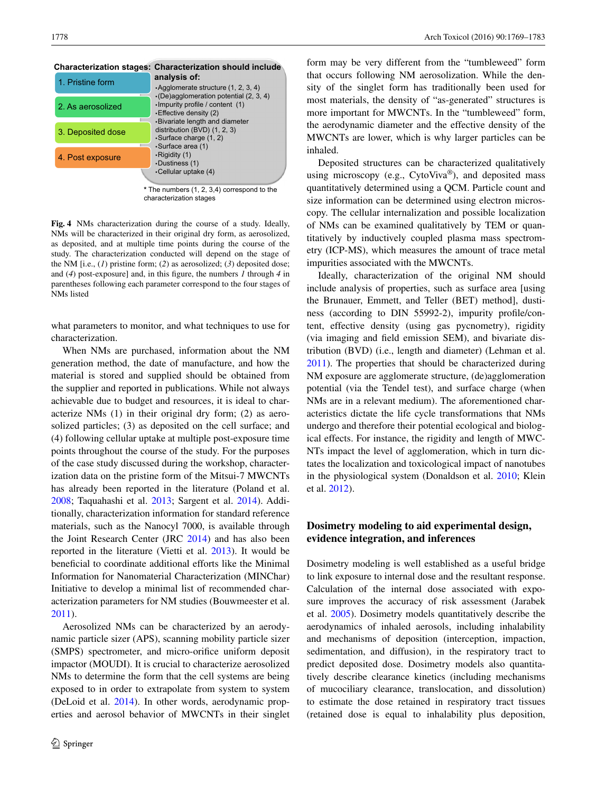|                   | Characterization stages: Characterization should include                                                           |  |
|-------------------|--------------------------------------------------------------------------------------------------------------------|--|
| 1. Pristine form  | analysis of:<br>$-Aqglomerate structure (1, 2, 3, 4)$                                                              |  |
| 2. As aerosolized | $\cdot$ (De)agglomeration potential (2, 3, 4)<br>$\cdot$ Impurity profile / content (1)<br>• Effective density (2) |  |
| 3. Deposited dose | •Bivariate length and diameter<br>distribution $(BVD)$ $(1, 2, 3)$<br>$\cdot$ Surface charge (1, 2)                |  |
| 4. Post exposure  | ·Surface area (1)<br>$\cdot$ Rigidity (1)<br>•Dustiness (1)                                                        |  |
|                   | •Cellular uptake (4)                                                                                               |  |

**Characterization stages: Characterization should include**

**\*** The numbers (1, 2, 3,4) correspond to the characterization stages

<span id="page-9-0"></span>**Fig. 4** NMs characterization during the course of a study. Ideally, NMs will be characterized in their original dry form, as aerosolized, as deposited, and at multiple time points during the course of the study. The characterization conducted will depend on the stage of the NM [i.e., (*1*) pristine form; (*2*) as aerosolized; (*3*) deposited dose; and (*4*) post-exposure] and, in this figure, the numbers *1* through *4* in parentheses following each parameter correspond to the four stages of NMs listed

what parameters to monitor, and what techniques to use for characterization.

When NMs are purchased, information about the NM generation method, the date of manufacture, and how the material is stored and supplied should be obtained from the supplier and reported in publications. While not always achievable due to budget and resources, it is ideal to characterize NMs (1) in their original dry form; (2) as aerosolized particles; (3) as deposited on the cell surface; and (4) following cellular uptake at multiple post-exposure time points throughout the course of the study. For the purposes of the case study discussed during the workshop, characterization data on the pristine form of the Mitsui-7 MWCNTs has already been reported in the literature (Poland et al. [2008](#page-13-32); Taquahashi et al. [2013](#page-14-18); Sargent et al. [2014\)](#page-14-8). Additionally, characterization information for standard reference materials, such as the Nanocyl 7000, is available through the Joint Research Center (JRC [2014\)](#page-13-33) and has also been reported in the literature (Vietti et al. [2013\)](#page-14-10). It would be beneficial to coordinate additional efforts like the Minimal Information for Nanomaterial Characterization (MINChar) Initiative to develop a minimal list of recommended characterization parameters for NM studies (Bouwmeester et al. [2011](#page-12-22)).

Aerosolized NMs can be characterized by an aerodynamic particle sizer (APS), scanning mobility particle sizer (SMPS) spectrometer, and micro-orifice uniform deposit impactor (MOUDI). It is crucial to characterize aerosolized NMs to determine the form that the cell systems are being exposed to in order to extrapolate from system to system (DeLoid et al. [2014\)](#page-12-23). In other words, aerodynamic properties and aerosol behavior of MWCNTs in their singlet

form may be very different from the "tumbleweed" form that occurs following NM aerosolization. While the density of the singlet form has traditionally been used for most materials, the density of "as-generated" structures is more important for MWCNTs. In the "tumbleweed" form, the aerodynamic diameter and the effective density of the MWCNTs are lower, which is why larger particles can be inhaled.

Deposited structures can be characterized qualitatively using microscopy (e.g., CytoViva®), and deposited mass quantitatively determined using a QCM. Particle count and size information can be determined using electron microscopy. The cellular internalization and possible localization of NMs can be examined qualitatively by TEM or quantitatively by inductively coupled plasma mass spectrometry (ICP-MS), which measures the amount of trace metal impurities associated with the MWCNTs.

Ideally, characterization of the original NM should include analysis of properties, such as surface area [using the Brunauer, Emmett, and Teller (BET) method], dustiness (according to DIN 55992-2), impurity profile/content, effective density (using gas pycnometry), rigidity (via imaging and field emission SEM), and bivariate distribution (BVD) (i.e., length and diameter) (Lehman et al. [2011](#page-13-34)). The properties that should be characterized during NM exposure are agglomerate structure, (de)agglomeration potential (via the Tendel test), and surface charge (when NMs are in a relevant medium). The aforementioned characteristics dictate the life cycle transformations that NMs undergo and therefore their potential ecological and biological effects. For instance, the rigidity and length of MWC-NTs impact the level of agglomeration, which in turn dictates the localization and toxicological impact of nanotubes in the physiological system (Donaldson et al. [2010;](#page-12-24) Klein et al. [2012](#page-13-23)).

## **Dosimetry modeling to aid experimental design, evidence integration, and inferences**

Dosimetry modeling is well established as a useful bridge to link exposure to internal dose and the resultant response. Calculation of the internal dose associated with exposure improves the accuracy of risk assessment (Jarabek et al. [2005\)](#page-13-29). Dosimetry models quantitatively describe the aerodynamics of inhaled aerosols, including inhalability and mechanisms of deposition (interception, impaction, sedimentation, and diffusion), in the respiratory tract to predict deposited dose. Dosimetry models also quantitatively describe clearance kinetics (including mechanisms of mucociliary clearance, translocation, and dissolution) to estimate the dose retained in respiratory tract tissues (retained dose is equal to inhalability plus deposition,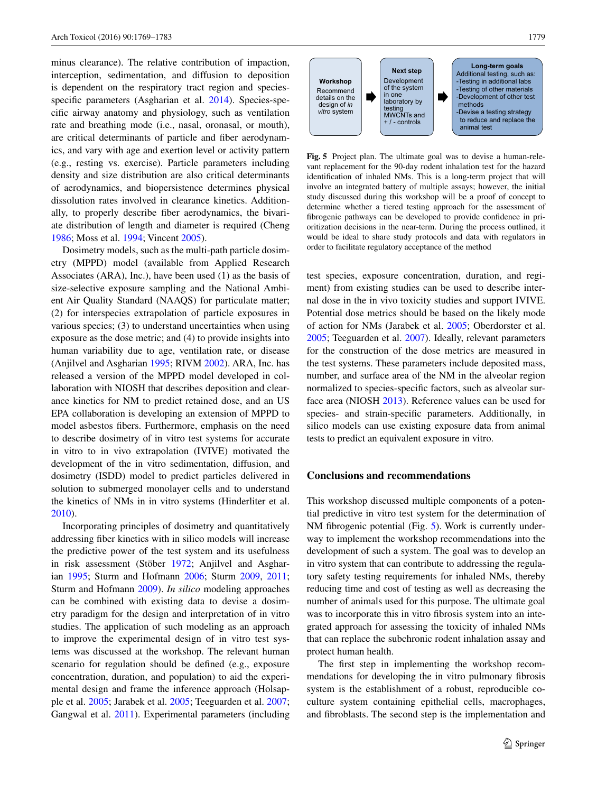minus clearance). The relative contribution of impaction, interception, sedimentation, and diffusion to deposition is dependent on the respiratory tract region and species-specific parameters (Asgharian et al. [2014](#page-12-25)). Species-specific airway anatomy and physiology, such as ventilation rate and breathing mode (i.e., nasal, oronasal, or mouth), are critical determinants of particle and fiber aerodynamics, and vary with age and exertion level or activity pattern (e.g., resting vs. exercise). Particle parameters including density and size distribution are also critical determinants of aerodynamics, and biopersistence determines physical dissolution rates involved in clearance kinetics. Additionally, to properly describe fiber aerodynamics, the bivariate distribution of length and diameter is required (Cheng [1986](#page-12-21); Moss et al. [1994](#page-13-28); Vincent [2005\)](#page-14-19).

Dosimetry models, such as the multi-path particle dosimetry (MPPD) model (available from Applied Research Associates (ARA), Inc.), have been used (1) as the basis of size-selective exposure sampling and the National Ambient Air Quality Standard (NAAQS) for particulate matter; (2) for interspecies extrapolation of particle exposures in various species; (3) to understand uncertainties when using exposure as the dose metric; and (4) to provide insights into human variability due to age, ventilation rate, or disease (Anjilvel and Asgharian [1995;](#page-12-26) RIVM [2002\)](#page-13-35). ARA, Inc. has released a version of the MPPD model developed in collaboration with NIOSH that describes deposition and clearance kinetics for NM to predict retained dose, and an US EPA collaboration is developing an extension of MPPD to model asbestos fibers. Furthermore, emphasis on the need to describe dosimetry of in vitro test systems for accurate in vitro to in vivo extrapolation (IVIVE) motivated the development of the in vitro sedimentation, diffusion, and dosimetry (ISDD) model to predict particles delivered in solution to submerged monolayer cells and to understand the kinetics of NMs in in vitro systems (Hinderliter et al. [2010](#page-13-36)).

Incorporating principles of dosimetry and quantitatively addressing fiber kinetics with in silico models will increase the predictive power of the test system and its usefulness in risk assessment (Stöber [1972;](#page-14-20) Anjilvel and Asgharian [1995](#page-12-26); Sturm and Hofmann [2006;](#page-14-21) Sturm [2009,](#page-14-22) [2011](#page-14-23); Sturm and Hofmann [2009](#page-14-24)). *In silico* modeling approaches can be combined with existing data to devise a dosimetry paradigm for the design and interpretation of in vitro studies. The application of such modeling as an approach to improve the experimental design of in vitro test systems was discussed at the workshop. The relevant human scenario for regulation should be defined (e.g., exposure concentration, duration, and population) to aid the experimental design and frame the inference approach (Holsapple et al. [2005](#page-13-37); Jarabek et al. [2005;](#page-13-29) Teeguarden et al. [2007](#page-14-17); Gangwal et al. [2011](#page-12-27)). Experimental parameters (including



<span id="page-10-0"></span>**Fig. 5** Project plan. The ultimate goal was to devise a human-relevant replacement for the 90-day rodent inhalation test for the hazard identification of inhaled NMs. This is a long-term project that will involve an integrated battery of multiple assays; however, the initial study discussed during this workshop will be a proof of concept to determine whether a tiered testing approach for the assessment of fibrogenic pathways can be developed to provide confidence in prioritization decisions in the near-term. During the process outlined, it would be ideal to share study protocols and data with regulators in order to facilitate regulatory acceptance of the method

test species, exposure concentration, duration, and regiment) from existing studies can be used to describe internal dose in the in vivo toxicity studies and support IVIVE. Potential dose metrics should be based on the likely mode of action for NMs (Jarabek et al. [2005](#page-13-29); Oberdorster et al. [2005](#page-13-10); Teeguarden et al. [2007](#page-14-17)). Ideally, relevant parameters for the construction of the dose metrics are measured in the test systems. These parameters include deposited mass, number, and surface area of the NM in the alveolar region normalized to species-specific factors, such as alveolar surface area (NIOSH [2013\)](#page-13-31). Reference values can be used for species- and strain-specific parameters. Additionally, in silico models can use existing exposure data from animal tests to predict an equivalent exposure in vitro.

## **Conclusions and recommendations**

This workshop discussed multiple components of a potential predictive in vitro test system for the determination of NM fibrogenic potential (Fig. [5](#page-10-0)). Work is currently underway to implement the workshop recommendations into the development of such a system. The goal was to develop an in vitro system that can contribute to addressing the regulatory safety testing requirements for inhaled NMs, thereby reducing time and cost of testing as well as decreasing the number of animals used for this purpose. The ultimate goal was to incorporate this in vitro fibrosis system into an integrated approach for assessing the toxicity of inhaled NMs that can replace the subchronic rodent inhalation assay and protect human health.

The first step in implementing the workshop recommendations for developing the in vitro pulmonary fibrosis system is the establishment of a robust, reproducible coculture system containing epithelial cells, macrophages, and fibroblasts. The second step is the implementation and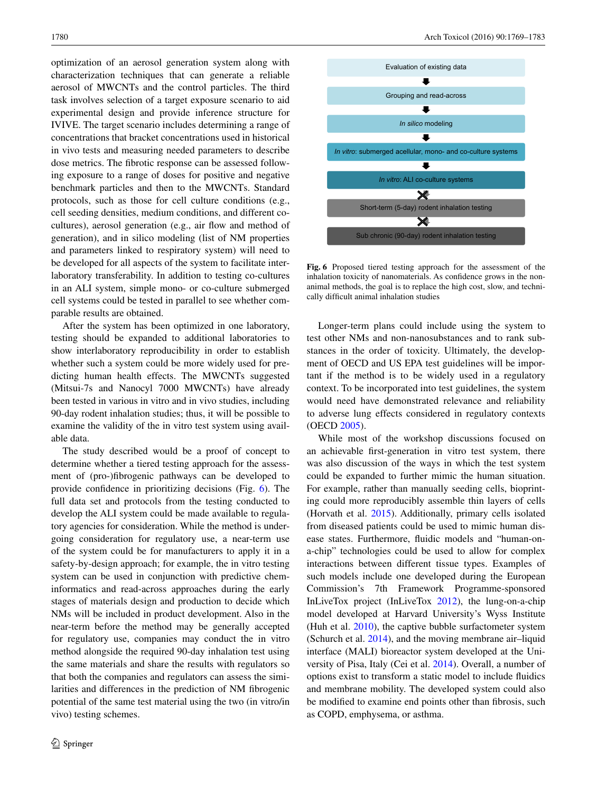optimization of an aerosol generation system along with characterization techniques that can generate a reliable aerosol of MWCNTs and the control particles. The third task involves selection of a target exposure scenario to aid experimental design and provide inference structure for IVIVE. The target scenario includes determining a range of concentrations that bracket concentrations used in historical in vivo tests and measuring needed parameters to describe dose metrics. The fibrotic response can be assessed following exposure to a range of doses for positive and negative benchmark particles and then to the MWCNTs. Standard protocols, such as those for cell culture conditions (e.g., cell seeding densities, medium conditions, and different cocultures), aerosol generation (e.g., air flow and method of generation), and in silico modeling (list of NM properties and parameters linked to respiratory system) will need to be developed for all aspects of the system to facilitate interlaboratory transferability. In addition to testing co-cultures in an ALI system, simple mono- or co-culture submerged cell systems could be tested in parallel to see whether comparable results are obtained.

After the system has been optimized in one laboratory, testing should be expanded to additional laboratories to show interlaboratory reproducibility in order to establish whether such a system could be more widely used for predicting human health effects. The MWCNTs suggested (Mitsui-7s and Nanocyl 7000 MWCNTs) have already been tested in various in vitro and in vivo studies, including 90-day rodent inhalation studies; thus, it will be possible to examine the validity of the in vitro test system using available data.

The study described would be a proof of concept to determine whether a tiered testing approach for the assessment of (pro-)fibrogenic pathways can be developed to provide confidence in prioritizing decisions (Fig. [6\)](#page-11-0). The full data set and protocols from the testing conducted to develop the ALI system could be made available to regulatory agencies for consideration. While the method is undergoing consideration for regulatory use, a near-term use of the system could be for manufacturers to apply it in a safety-by-design approach; for example, the in vitro testing system can be used in conjunction with predictive cheminformatics and read-across approaches during the early stages of materials design and production to decide which NMs will be included in product development. Also in the near-term before the method may be generally accepted for regulatory use, companies may conduct the in vitro method alongside the required 90-day inhalation test using the same materials and share the results with regulators so that both the companies and regulators can assess the similarities and differences in the prediction of NM fibrogenic potential of the same test material using the two (in vitro/in vivo) testing schemes.



<span id="page-11-0"></span>**Fig. 6** Proposed tiered testing approach for the assessment of the inhalation toxicity of nanomaterials. As confidence grows in the nonanimal methods, the goal is to replace the high cost, slow, and technically difficult animal inhalation studies

Longer-term plans could include using the system to test other NMs and non-nanosubstances and to rank substances in the order of toxicity. Ultimately, the development of OECD and US EPA test guidelines will be important if the method is to be widely used in a regulatory context. To be incorporated into test guidelines, the system would need have demonstrated relevance and reliability to adverse lung effects considered in regulatory contexts (OECD [2005\)](#page-13-38).

While most of the workshop discussions focused on an achievable first-generation in vitro test system, there was also discussion of the ways in which the test system could be expanded to further mimic the human situation. For example, rather than manually seeding cells, bioprinting could more reproducibly assemble thin layers of cells (Horvath et al. [2015](#page-13-39)). Additionally, primary cells isolated from diseased patients could be used to mimic human disease states. Furthermore, fluidic models and "human-ona-chip" technologies could be used to allow for complex interactions between different tissue types. Examples of such models include one developed during the European Commission's 7th Framework Programme-sponsored InLiveTox project (InLiveTox [2012](#page-13-40)), the lung-on-a-chip model developed at Harvard University's Wyss Institute (Huh et al. [2010\)](#page-13-22), the captive bubble surfactometer system (Schurch et al. [2014](#page-14-25)), and the moving membrane air–liquid interface (MALI) bioreactor system developed at the University of Pisa, Italy (Cei et al. [2014](#page-12-28)). Overall, a number of options exist to transform a static model to include fluidics and membrane mobility. The developed system could also be modified to examine end points other than fibrosis, such as COPD, emphysema, or asthma.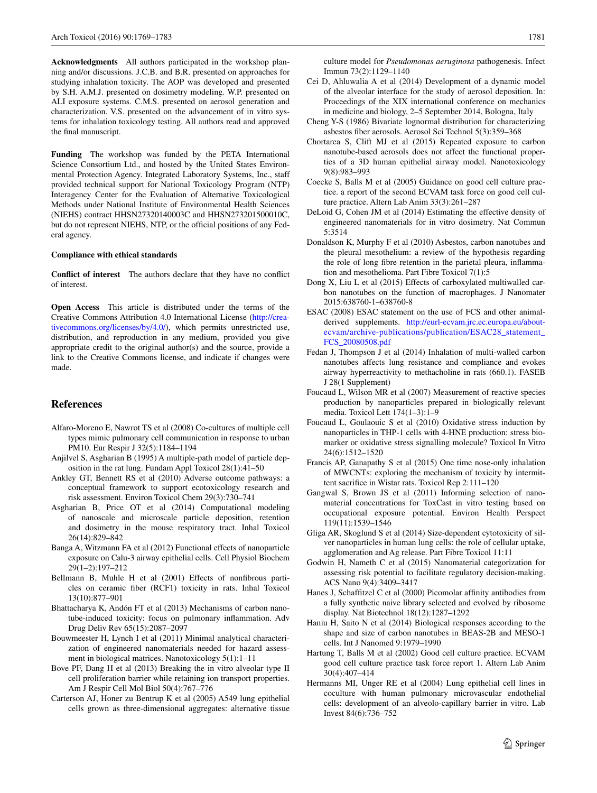**Acknowledgments** All authors participated in the workshop planning and/or discussions. J.C.B. and B.R. presented on approaches for studying inhalation toxicity. The AOP was developed and presented by S.H. A.M.J. presented on dosimetry modeling. W.P. presented on ALI exposure systems. C.M.S. presented on aerosol generation and characterization. V.S. presented on the advancement of in vitro systems for inhalation toxicology testing. All authors read and approved the final manuscript.

**Funding** The workshop was funded by the PETA International Science Consortium Ltd., and hosted by the United States Environmental Protection Agency. Integrated Laboratory Systems, Inc., staff provided technical support for National Toxicology Program (NTP) Interagency Center for the Evaluation of Alternative Toxicological Methods under National Institute of Environmental Health Sciences (NIEHS) contract HHSN27320140003C and HHSN273201500010C, but do not represent NIEHS, NTP, or the official positions of any Federal agency.

#### **Compliance with ethical standards**

**Conflict of interest** The authors declare that they have no conflict of interest.

**Open Access** This article is distributed under the terms of the Creative Commons Attribution 4.0 International License ([http://crea](http://creativecommons.org/licenses/by/4.0/)[tivecommons.org/licenses/by/4.0/](http://creativecommons.org/licenses/by/4.0/)), which permits unrestricted use, distribution, and reproduction in any medium, provided you give appropriate credit to the original author(s) and the source, provide a link to the Creative Commons license, and indicate if changes were made.

#### **References**

- <span id="page-12-20"></span>Alfaro-Moreno E, Nawrot TS et al (2008) Co-cultures of multiple cell types mimic pulmonary cell communication in response to urban PM10. Eur Respir J 32(5):1184–1194
- <span id="page-12-26"></span>Anjilvel S, Asgharian B (1995) A multiple-path model of particle deposition in the rat lung. Fundam Appl Toxicol 28(1):41–50
- <span id="page-12-11"></span>Ankley GT, Bennett RS et al (2010) Adverse outcome pathways: a conceptual framework to support ecotoxicology research and risk assessment. Environ Toxicol Chem 29(3):730–741
- <span id="page-12-25"></span>Asgharian B, Price OT et al (2014) Computational modeling of nanoscale and microscale particle deposition, retention and dosimetry in the mouse respiratory tract. Inhal Toxicol 26(14):829–842
- <span id="page-12-4"></span>Banga A, Witzmann FA et al (2012) Functional effects of nanoparticle exposure on Calu-3 airway epithelial cells. Cell Physiol Biochem 29(1–2):197–212
- <span id="page-12-12"></span>Bellmann B, Muhle H et al (2001) Effects of nonfibrous particles on ceramic fiber (RCF1) toxicity in rats. Inhal Toxicol 13(10):877–901
- <span id="page-12-5"></span>Bhattacharya K, Andón FT et al (2013) Mechanisms of carbon nanotube-induced toxicity: focus on pulmonary inflammation. Adv Drug Deliv Rev 65(15):2087–2097
- <span id="page-12-22"></span>Bouwmeester H, Lynch I et al (2011) Minimal analytical characterization of engineered nanomaterials needed for hazard assessment in biological matrices. Nanotoxicology 5(1):1–11
- <span id="page-12-13"></span>Bove PF, Dang H et al (2013) Breaking the in vitro alveolar type II cell proliferation barrier while retaining ion transport properties. Am J Respir Cell Mol Biol 50(4):767–776
- <span id="page-12-15"></span>Carterson AJ, Honer zu Bentrup K et al (2005) A549 lung epithelial cells grown as three-dimensional aggregates: alternative tissue

culture model for *Pseudomonas aeruginosa* pathogenesis. Infect Immun 73(2):1129–1140

- <span id="page-12-28"></span>Cei D, Ahluwalia A et al (2014) Development of a dynamic model of the alveolar interface for the study of aerosol deposition. In: Proceedings of the XIX international conference on mechanics in medicine and biology, 2–5 September 2014, Bologna, Italy
- <span id="page-12-21"></span>Cheng Y-S (1986) Bivariate lognormal distribution for characterizing asbestos fiber aerosols. Aerosol Sci Technol 5(3):359–368
- <span id="page-12-14"></span>Chortarea S, Clift MJ et al (2015) Repeated exposure to carbon nanotube-based aerosols does not affect the functional properties of a 3D human epithelial airway model. Nanotoxicology 9(8):983–993
- <span id="page-12-17"></span>Coecke S, Balls M et al (2005) Guidance on good cell culture practice. a report of the second ECVAM task force on good cell culture practice. Altern Lab Anim 33(3):261–287
- <span id="page-12-23"></span>DeLoid G, Cohen JM et al (2014) Estimating the effective density of engineered nanomaterials for in vitro dosimetry. Nat Commun 5:3514
- <span id="page-12-24"></span>Donaldson K, Murphy F et al (2010) Asbestos, carbon nanotubes and the pleural mesothelium: a review of the hypothesis regarding the role of long fibre retention in the parietal pleura, inflammation and mesothelioma. Part Fibre Toxicol 7(1):5
- <span id="page-12-10"></span>Dong X, Liu L et al (2015) Effects of carboxylated multiwalled carbon nanotubes on the function of macrophages. J Nanomater 2015:638760-1–638760-8
- <span id="page-12-18"></span>ESAC (2008) ESAC statement on the use of FCS and other animalderived supplements. [http://eurl-ecvam.jrc.ec.europa.eu/about](http://eurl-ecvam.jrc.ec.europa.eu/about-ecvam/archive-publications/publication/ESAC28_statement_FCS_20080508.pdf)[ecvam/archive-publications/publication/ESAC28\\_statement\\_](http://eurl-ecvam.jrc.ec.europa.eu/about-ecvam/archive-publications/publication/ESAC28_statement_FCS_20080508.pdf) [FCS\\_20080508.pdf](http://eurl-ecvam.jrc.ec.europa.eu/about-ecvam/archive-publications/publication/ESAC28_statement_FCS_20080508.pdf)
- <span id="page-12-8"></span>Fedan J, Thompson J et al (2014) Inhalation of multi-walled carbon nanotubes affects lung resistance and compliance and evokes airway hyperreactivity to methacholine in rats (660.1). FASEB J 28(1 Supplement)
- <span id="page-12-2"></span>Foucaud L, Wilson MR et al (2007) Measurement of reactive species production by nanoparticles prepared in biologically relevant media. Toxicol Lett 174(1–3):1–9
- <span id="page-12-3"></span>Foucaud L, Goulaouic S et al (2010) Oxidative stress induction by nanoparticles in THP-1 cells with 4-HNE production: stress biomarker or oxidative stress signalling molecule? Toxicol In Vitro 24(6):1512–1520
- <span id="page-12-7"></span>Francis AP, Ganapathy S et al (2015) One time nose-only inhalation of MWCNTs: exploring the mechanism of toxicity by intermittent sacrifice in Wistar rats. Toxicol Rep 2:111–120
- <span id="page-12-27"></span>Gangwal S, Brown JS et al (2011) Informing selection of nanomaterial concentrations for ToxCast in vitro testing based on occupational exposure potential. Environ Health Perspect 119(11):1539–1546
- <span id="page-12-6"></span>Gliga AR, Skoglund S et al (2014) Size-dependent cytotoxicity of silver nanoparticles in human lung cells: the role of cellular uptake, agglomeration and Ag release. Part Fibre Toxicol 11:11
- <span id="page-12-0"></span>Godwin H, Nameth C et al (2015) Nanomaterial categorization for assessing risk potential to facilitate regulatory decision-making. ACS Nano 9(4):3409–3417
- <span id="page-12-1"></span>Hanes J, Schaffitzel C et al (2000) Picomolar affinity antibodies from a fully synthetic naive library selected and evolved by ribosome display. Nat Biotechnol 18(12):1287–1292
- <span id="page-12-9"></span>Haniu H, Saito N et al (2014) Biological responses according to the shape and size of carbon nanotubes in BEAS-2B and MESO-1 cells. Int J Nanomed 9:1979–1990
- <span id="page-12-16"></span>Hartung T, Balls M et al (2002) Good cell culture practice. ECVAM good cell culture practice task force report 1. Altern Lab Anim 30(4):407–414
- <span id="page-12-19"></span>Hermanns MI, Unger RE et al (2004) Lung epithelial cell lines in coculture with human pulmonary microvascular endothelial cells: development of an alveolo-capillary barrier in vitro. Lab Invest 84(6):736–752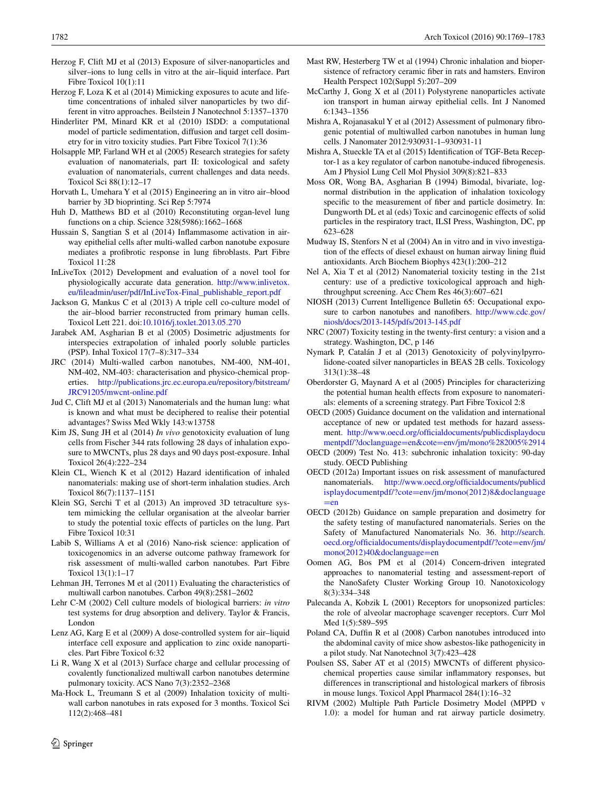<span id="page-13-24"></span>Herzog F, Clift MJ et al (2013) Exposure of silver-nanoparticles and silver–ions to lung cells in vitro at the air–liquid interface. Part Fibre Toxicol 10(1):11

<span id="page-13-8"></span>Herzog F, Loza K et al (2014) Mimicking exposures to acute and lifetime concentrations of inhaled silver nanoparticles by two different in vitro approaches. Beilstein J Nanotechnol 5:1357–1370

- <span id="page-13-36"></span>Hinderliter PM, Minard KR et al (2010) ISDD: a computational model of particle sedimentation, diffusion and target cell dosimetry for in vitro toxicity studies. Part Fibre Toxicol 7(1):36
- <span id="page-13-37"></span>Holsapple MP, Farland WH et al (2005) Research strategies for safety evaluation of nanomaterials, part II: toxicological and safety evaluation of nanomaterials, current challenges and data needs. Toxicol Sci 88(1):12–17
- <span id="page-13-39"></span>Horvath L, Umehara Y et al (2015) Engineering an in vitro air–blood barrier by 3D bioprinting. Sci Rep 5:7974
- <span id="page-13-22"></span>Huh D, Matthews BD et al (2010) Reconstituting organ-level lung functions on a chip. Science 328(5986):1662–1668
- <span id="page-13-15"></span>Hussain S, Sangtian S et al (2014) Inflammasome activation in airway epithelial cells after multi-walled carbon nanotube exposure mediates a profibrotic response in lung fibroblasts. Part Fibre Toxicol 11:28
- <span id="page-13-40"></span>InLiveTox (2012) Development and evaluation of a novel tool for physiologically accurate data generation. [http://www.inlivetox.](http://www.inlivetox.eu/fileadmin/user/pdf/InLiveTox-Final_publishable_report.pdf) [eu/fileadmin/user/pdf/InLiveTox-Final\\_publishable\\_report.pdf](http://www.inlivetox.eu/fileadmin/user/pdf/InLiveTox-Final_publishable_report.pdf)
- <span id="page-13-27"></span>Jackson G, Mankus C et al (2013) A triple cell co-culture model of the air–blood barrier reconstructed from primary human cells. Toxicol Lett 221. doi:[10.1016/j.toxlet.2013.05.270](http://dx.doi.org/10.1016/j.toxlet.2013.05.270)
- <span id="page-13-29"></span>Jarabek AM, Asgharian B et al (2005) Dosimetric adjustments for interspecies extrapolation of inhaled poorly soluble particles (PSP). Inhal Toxicol 17(7–8):317–334
- <span id="page-13-33"></span>JRC (2014) Multi-walled carbon nanotubes, NM-400, NM-401, NM-402, NM-403: characterisation and physico-chemical properties. [http://publications.jrc.ec.europa.eu/repository/bitstream/](http://publications.jrc.ec.europa.eu/repository/bitstream/JRC91205/mwcnt-online.pdf) [JRC91205/mwcnt-online.pdf](http://publications.jrc.ec.europa.eu/repository/bitstream/JRC91205/mwcnt-online.pdf)
- <span id="page-13-20"></span>Jud C, Clift MJ et al (2013) Nanomaterials and the human lung: what is known and what must be deciphered to realise their potential advantages? Swiss Med Wkly 143:w13758
- <span id="page-13-16"></span>Kim JS, Sung JH et al (2014) *In vivo* genotoxicity evaluation of lung cells from Fischer 344 rats following 28 days of inhalation exposure to MWCNTs, plus 28 days and 90 days post-exposure. Inhal Toxicol 26(4):222–234
- <span id="page-13-23"></span>Klein CL, Wiench K et al (2012) Hazard identification of inhaled nanomaterials: making use of short-term inhalation studies. Arch Toxicol 86(7):1137–1151
- <span id="page-13-7"></span>Klein SG, Serchi T et al (2013) An improved 3D tetraculture system mimicking the cellular organisation at the alveolar barrier to study the potential toxic effects of particles on the lung. Part Fibre Toxicol 10:31
- <span id="page-13-17"></span>Labib S, Williams A et al (2016) Nano-risk science: application of toxicogenomics in an adverse outcome pathway framework for risk assessment of multi-walled carbon nanotubes. Part Fibre Toxicol 13(1):1–17
- <span id="page-13-34"></span>Lehman JH, Terrones M et al (2011) Evaluating the characteristics of multiwall carbon nanotubes. Carbon 49(8):2581–2602
- <span id="page-13-21"></span>Lehr C-M (2002) Cell culture models of biological barriers: *in vitro* test systems for drug absorption and delivery. Taylor & Francis, London
- <span id="page-13-30"></span>Lenz AG, Karg E et al (2009) A dose-controlled system for air–liquid interface cell exposure and application to zinc oxide nanoparticles. Part Fibre Toxicol 6:32
- <span id="page-13-25"></span>Li R, Wang X et al (2013) Surface charge and cellular processing of covalently functionalized multiwall carbon nanotubes determine pulmonary toxicity. ACS Nano 7(3):2352–2368
- <span id="page-13-12"></span>Ma-Hock L, Treumann S et al (2009) Inhalation toxicity of multiwall carbon nanotubes in rats exposed for 3 months. Toxicol Sci 112(2):468–481
- <span id="page-13-19"></span>Mast RW, Hesterberg TW et al (1994) Chronic inhalation and biopersistence of refractory ceramic fiber in rats and hamsters. Environ Health Perspect 102(Suppl 5):207–209
- <span id="page-13-5"></span>McCarthy J, Gong X et al (2011) Polystyrene nanoparticles activate ion transport in human airway epithelial cells. Int J Nanomed 6:1343–1356
- <span id="page-13-13"></span>Mishra A, Rojanasakul Y et al (2012) Assessment of pulmonary fibrogenic potential of multiwalled carbon nanotubes in human lung cells. J Nanomater 2012:930931-1–930931-11
- <span id="page-13-14"></span>Mishra A, Stueckle TA et al (2015) Identification of TGF-Beta Receptor-1 as a key regulator of carbon nanotube-induced fibrogenesis. Am J Physiol Lung Cell Mol Physiol 309(8):821–833
- <span id="page-13-28"></span>Moss OR, Wong BA, Asgharian B (1994) Bimodal, bivariate, lognormal distribution in the application of inhalation toxicology specific to the measurement of fiber and particle dosimetry. In: Dungworth DL et al (eds) Toxic and carcinogenic effects of solid particles in the respiratory tract, ILSI Press, Washington, DC, pp 623–628
- <span id="page-13-4"></span>Mudway IS, Stenfors N et al (2004) An in vitro and in vivo investigation of the effects of diesel exhaust on human airway lining fluid antioxidants. Arch Biochem Biophys 423(1):200–212
- <span id="page-13-2"></span>Nel A, Xia T et al (2012) Nanomaterial toxicity testing in the 21st century: use of a predictive toxicological approach and highthroughput screening. Acc Chem Res 46(3):607–621
- <span id="page-13-31"></span>NIOSH (2013) Current Intelligence Bulletin 65: Occupational exposure to carbon nanotubes and nanofibers. [http://www.cdc.gov/](http://www.cdc.gov/niosh/docs/2013-145/pdfs/2013-145.pdf) [niosh/docs/2013-145/pdfs/2013-145.pdf](http://www.cdc.gov/niosh/docs/2013-145/pdfs/2013-145.pdf)
- <span id="page-13-26"></span>NRC (2007) Toxicity testing in the twenty-first century: a vision and a strategy. Washington, DC, p 146
- <span id="page-13-6"></span>Nymark P, Catalán J et al (2013) Genotoxicity of polyvinylpyrrolidone-coated silver nanoparticles in BEAS 2B cells. Toxicology 313(1):38–48
- <span id="page-13-10"></span>Oberdorster G, Maynard A et al (2005) Principles for characterizing the potential human health effects from exposure to nanomaterials: elements of a screening strategy. Part Fibre Toxicol 2:8
- <span id="page-13-38"></span>OECD (2005) Guidance document on the validation and international acceptance of new or updated test methods for hazard assessment. [http://www.oecd.org/officialdocuments/publicdisplaydocu](http://www.oecd.org/officialdocuments/publicdisplaydocumentpdf/%3fdoclanguage%3den%26cote%3denv/jm/mono%25282005%252914) mentpdf/?doclanguage=en&cote=env/jm/mono%282005%2914
- <span id="page-13-1"></span>OE[CD \(2009\) Test No. 413: subchronic inhalation toxicity: 90-day](http://www.oecd.org/officialdocuments/publicdisplaydocumentpdf/%3fdoclanguage%3den%26cote%3denv/jm/mono%25282005%252914) study. OECD Publishing
- <span id="page-13-0"></span>OECD (2012a) Important issues on risk assessment of manufactured nanomaterials. [http://www.oecd.org/officialdocuments/publicd](http://www.oecd.org/officialdocuments/publicdisplaydocumentpdf/%3fcote%3denv/jm/mono(2012)8%26doclanguage%3den) isplaydocumentpdf/?cote=[env/jm/mono\(2012\)8&doclanguage](http://www.oecd.org/officialdocuments/publicdisplaydocumentpdf/%3fcote%3denv/jm/mono(2012)8%26doclanguage%3den)  $=$ en
- <span id="page-13-11"></span>OE[CD \(2](http://www.oecd.org/officialdocuments/publicdisplaydocumentpdf/%3fcote%3denv/jm/mono(2012)8%26doclanguage%3den)012b) Guidance on sample preparation and dosimetry for the safety testing of manufactured nanomaterials. Series on the Safety of Manufactured Nanomaterials No. 36. [http://search.](http://search.oecd.org/officialdocuments/displaydocumentpdf/%3fcote%3denv/jm/mono(2012)40%26doclanguage%3den) [oecd.org/officialdocuments/displaydocumentpdf/?cote](http://search.oecd.org/officialdocuments/displaydocumentpdf/%3fcote%3denv/jm/mono(2012)40%26doclanguage%3den)=env/jm/ [mono\(2012\)40&doclanguage](http://search.oecd.org/officialdocuments/displaydocumentpdf/%3fcote%3denv/jm/mono(2012)40%26doclanguage%3den)=en
- <span id="page-13-3"></span>Oomen AG, Bos PM et al (2014) Concern-driven integrated approaches to nanomaterial testing and assessment-report of the NanoSafety Cluster Working Group 10. Nanotoxicology 8(3):334–348
- <span id="page-13-9"></span>Palecanda A, Kobzik L (2001) Receptors for unopsonized particles: the role of alveolar macrophage scavenger receptors. Curr Mol Med 1(5):589–595
- <span id="page-13-32"></span>Poland CA, Duffin R et al (2008) Carbon nanotubes introduced into the abdominal cavity of mice show asbestos-like pathogenicity in a pilot study. Nat Nanotechnol 3(7):423–428
- <span id="page-13-18"></span>Poulsen SS, Saber AT et al (2015) MWCNTs of different physicochemical properties cause similar inflammatory responses, but differences in transcriptional and histological markers of fibrosis in mouse lungs. Toxicol Appl Pharmacol 284(1):16–32
- <span id="page-13-35"></span>RIVM (2002) Multiple Path Particle Dosimetry Model (MPPD v 1.0): a model for human and rat airway particle dosimetry.